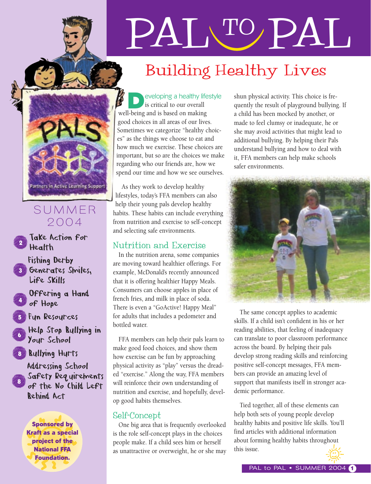

### SUMMER 2004

#### Take Action for Health 2

- Fishing Derby Generates Smiles, Life Skills 3
- Offering a Hand of Hope 4
- Fun Resources 5
- Help Stop Bullying in Your School 6
- Bullying Hurts 8

Addressing School Safety Requirements of the No Child Left Behind Act 8

Sponsored by Kraft as a special project of the National FFA Foundation.

# PAL TO PAL

## Building Healthy Lives

eveloping a healthy lifestyle is critical to our overall well-being and is based on making good choices in all areas of our lives. Sometimes we categorize "healthy choices" as the things we choose to eat and how much we exercise. These choices are important, but so are the choices we make regarding who our friends are, how we spend our time and how we see ourselves.

As they work to develop healthy lifestyles, today's FFA members can also help their young pals develop healthy habits. These habits can include everything from nutrition and exercise to self-concept and selecting safe environments.

#### Nutrition and Exercise

In the nutrition arena, some companies are moving toward healthier offerings. For example, McDonald's recently announced that it is offering healthier Happy Meals. Consumers can choose apples in place of french fries, and milk in place of soda. There is even a "GoActive! Happy Meal" for adults that includes a pedometer and bottled water.

FFA members can help their pals learn to make good food choices, and show them how exercise can be fun by approaching physical activity as "play" versus the dreaded "exercise." Along the way, FFA members will reinforce their own understanding of nutrition and exercise, and hopefully, develop good habits themselves.

#### Self-Concept

One big area that is frequently overlooked is the role self-concept plays in the choices people make. If a child sees him or herself as unattractive or overweight, he or she may shun physical activity. This choice is frequently the result of playground bullying. If a child has been mocked by another, or made to feel clumsy or inadequate, he or she may avoid activities that might lead to additional bullying. By helping their Pals understand bullying and how to deal with it, FFA members can help make schools safer environments.



The same concept applies to academic skills. If a child isn't confident in his or her reading abilities, that feeling of inadequacy can translate to poor classroom performance across the board. By helping their pals develop strong reading skills and reinforcing positive self-concept messages, FFA members can provide an amazing level of support that manifests itself in stronger academic performance.

Tied together, all of these elements can help both sets of young people develop healthy habits and positive life skills. You'll find articles with additional information about forming healthy habits throughout this issue. sponsored by<br>
Sponsored by<br>
Sponsored by<br>
Sponsored by<br>
Sponsored by<br>
Sponsored by<br>
One big area that is frequently overlooked healthy habits and positive life skills. You'll<br>
is the role self-concept plays in the choices<br>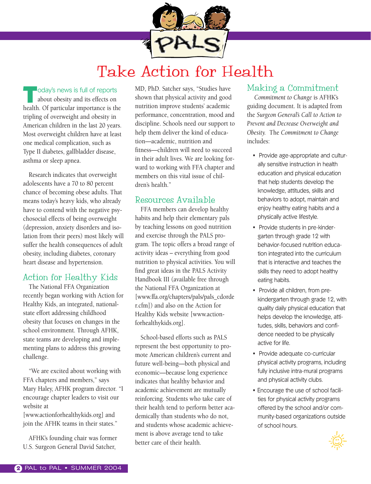

## Take Action for Health

loday's news is full of reports

about obesity and its effects on health. Of particular importance is the tripling of overweight and obesity in American children in the last 20 years. Most overweight children have at least one medical complication, such as Type II diabetes, gallbladder disease, asthma or sleep apnea.

Research indicates that overweight adolescents have a 70 to 80 percent chance of becoming obese adults. That means today's heavy kids, who already have to contend with the negative psychosocial effects of being overweight (depression, anxiety disorders and isolation from their peers) most likely will suffer the health consequences of adult obesity, including diabetes, coronary heart disease and hypertension.

#### Action for Healthy Kids

The National FFA Organization recently began working with Action for Healthy Kids, an integrated, nationalstate effort addressing childhood obesity that focuses on changes in the school environment. Through AFHK, state teams are developing and implementing plans to address this growing challenge.

"We are excited about working with FFA chapters and members," says Mary Haley, AFHK program director. "I encourage chapter leaders to visit our website at

[www.actionforhealthykids.org] and join the AFHK teams in their states."

AFHK's founding chair was former U.S. Surgeon General David Satcher,

MD, PhD. Satcher says, "Studies have shown that physical activity and good nutrition improve students' academic performance, concentration, mood and discipline. Schools need our support to help them deliver the kind of education—academic, nutrition and fitness—children will need to succeed in their adult lives. We are looking forward to working with FFA chapter and members on this vital issue of children's health."

#### Resources Available

FFA members can develop healthy habits and help their elementary pals by teaching lessons on good nutrition and exercise through the PALS program. The topic offers a broad range of activity ideas – everything from good nutrition to physical activities. You will find great ideas in the PALS Activity Handbook III (available free through the National FFA Organization at [www.ffa.org/chapters/pals/pals\_cdorde r.cfm]) and also on the Action for Healthy Kids website [www.actionforhealthykids.org].

School-based efforts such as PALS represent the best opportunity to promote American children's current and future well-being—both physical and economic—because long experience indicates that healthy behavior and academic achievement are mutually reinforcing. Students who take care of their health tend to perform better academically than students who do not, and students whose academic achievement is above average tend to take better care of their health.

#### Making a Commitment

*Commitment to Change* is AFHK's guiding document. It is adapted from the *Surgeon General's Call to Action to Prevent and Decrease Overweight and Obesity.* The *Commitment to Change* includes:

- Provide age-appropriate and culturally sensitive instruction in health education and physical education that help students develop the knowledge, attitudes, skills and behaviors to adopt, maintain and enjoy healthy eating habits and a physically active lifestyle.
- Provide students in pre-kindergarten through grade 12 with behavior-focused nutrition education integrated into the curriculum that is interactive and teaches the skills they need to adopt healthy eating habits.
- Provide all children, from prekindergarten through grade 12, with quality daily physical education that helps develop the knowledge, attitudes, skills, behaviors and confidence needed to be physically active for life.
- Provide adequate co-curricular physical activity programs, including fully inclusive intra-mural programs and physical activity clubs.
- Encourage the use of school facilities for physical activity programs offered by the school and/or community-based organizations outside of school hours.

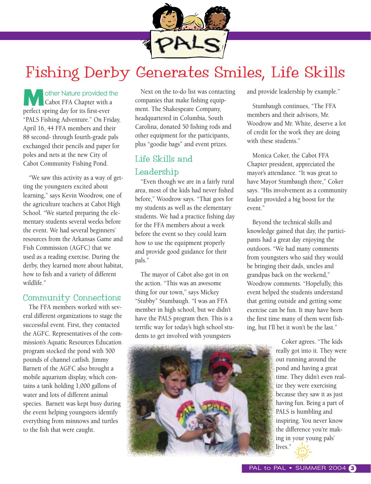

## Fishing Derby Generates Smiles, Life Skills

other Nature provided the<br>Cabot FFA Chapter with a perfect spring day for its first-ever "PALS Fishing Adventure." On Friday, April 16, 44 FFA members and their 88 second- through fourth-grade pals exchanged their pencils and paper for poles and nets at the new City of Cabot Community Fishing Pond.

"We saw this activity as a way of getting the youngsters excited about learning," says Kevin Woodrow, one of the agriculture teachers at Cabot High School. "We started preparing the elementary students several weeks before the event. We had several beginners' resources from the Arkansas Game and Fish Commission (AGFC) that we used as a reading exercise. During the derby, they learned more about habitat, how to fish and a variety of different wildlife."

#### Community Connections

The FFA members worked with several different organizations to stage the successful event. First, they contacted the AGFC. Representatives of the commission's Aquatic Resources Education program stocked the pond with 500 pounds of channel catfish. Jimmy Barnett of the AGFC also brought a mobile aquarium display, which contains a tank holding 1,000 gallons of water and lots of different animal species. Barnett was kept busy during the event helping youngsters identify everything from minnows and turtles to the fish that were caught.

Next on the to-do list was contacting companies that make fishing equipment. The Shakespeare Company, headquartered in Columbia, South Carolina, donated 50 fishing rods and other equipment for the participants, plus "goodie bags" and event prizes.

#### Life Skills and Leadership

"Even though we are in a fairly rural area, most of the kids had never fished before," Woodrow says. "That goes for my students as well as the elementary students. We had a practice fishing day for the FFA members about a week before the event so they could learn how to use the equipment properly and provide good guidance for their pals."

The mayor of Cabot also got in on the action. "This was an awesome thing for our town," says Mickey "Stubby" Stumbaugh. "I was an FFA member in high school, but we didn't have the PALS program then. This is a terrific way for today's high school students to get involved with youngsters

and provide leadership by example."

Stumbaugh continues, "The FFA members and their advisors, Mr. Woodrow and Mr. White, deserve a lot of credit for the work they are doing with these students."

Monica Coker, the Cabot FFA Chapter president, appreciated the mayor's attendance. "It was great to have Mayor Stumbaugh there," Coker says. "His involvement as a community leader provided a big boost for the event."

Beyond the technical skills and knowledge gained that day, the participants had a great day enjoying the outdoors. "We had many comments from youngsters who said they would be bringing their dads, uncles and grandpas back on the weekend," Woodrow comments. "Hopefully, this event helped the students understand that getting outside and getting some exercise can be fun. It may have been the first time many of them went fishing, but I'll bet it won't be the last."



Coker agrees. "The kids really got into it. They were out running around the pond and having a great time. They didn't even realize they were exercising because they saw it as just having fun. Being a part of PALS is humbling and inspiring. You never know the difference you're making in your young pals' lives."  $\frac{1}{2}$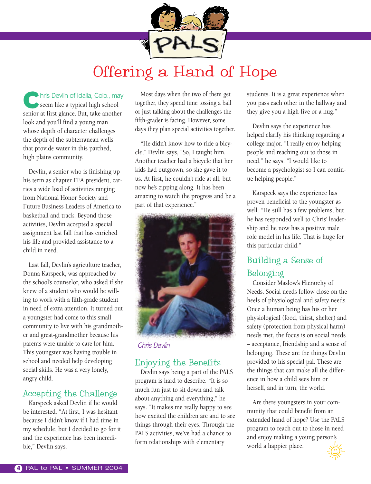

## Offering a Hand of Hope

**Chris Devlin of Idalia, Colo., may** seem like a typical high school senior at first glance. But, take another look and you'll find a young man whose depth of character challenges the depth of the subterranean wells that provide water in this parched, high plains community.

Devlin, a senior who is finishing up his term as chapter FFA president, carries a wide load of activities ranging from National Honor Society and Future Business Leaders of America to basketball and track. Beyond those activities, Devlin accepted a special assignment last fall that has enriched his life and provided assistance to a child in need.

Last fall, Devlin's agriculture teacher, Donna Karspeck, was approached by the school's counselor, who asked if she knew of a student who would be willing to work with a fifth-grade student in need of extra attention. It turned out a youngster had come to this small community to live with his grandmother and great-grandmother because his parents were unable to care for him. This youngster was having trouble in school and needed help developing social skills. He was a very lonely, angry child.

#### Accepting the Challenge

Karspeck asked Devlin if he would be interested. "At first, I was hesitant because I didn't know if I had time in my schedule, but I decided to go for it and the experience has been incredible," Devlin says.

Most days when the two of them get together, they spend time tossing a ball or just talking about the challenges the fifth-grader is facing. However, some days they plan special activities together.

"He didn't know how to ride a bicycle," Devlin says, "So, I taught him. Another teacher had a bicycle that her kids had outgrown, so she gave it to us. At first, he couldn't ride at all, but now he's zipping along. It has been amazing to watch the progress and be a part of that experience."



*Chris Devlin*

#### Enjoying the Benefits

Devlin says being a part of the PALS program is hard to describe. "It is so much fun just to sit down and talk about anything and everything," he says. "It makes me really happy to see how excited the children are and to see things through their eyes. Through the PALS activities, we've had a chance to form relationships with elementary

students. It is a great experience when you pass each other in the hallway and they give you a high-five or a hug."

Devlin says the experience has helped clarify his thinking regarding a college major. "I really enjoy helping people and reaching out to those in need," he says. "I would like to become a psychologist so I can continue helping people."

Karspeck says the experience has proven beneficial to the youngster as well. "He still has a few problems, but he has responded well to Chris' leadership and he now has a positive male role model in his life. That is huge for this particular child."

#### Building a Sense of Belonging

Consider Maslow's Hierarchy of Needs. Social needs follow close on the heels of physiological and safety needs. Once a human being has his or her physiological (food, thirst, shelter) and safety (protection from physical harm) needs met, the focus is on social needs – acceptance, friendship and a sense of belonging. These are the things Devlin provided to his special pal. These are the things that can make all the difference in how a child sees him or herself, and in turn, the world.

Are there youngsters in your community that could benefit from an extended hand of hope? Use the PALS program to reach out to those in need and enjoy making a young person's world a happier place.

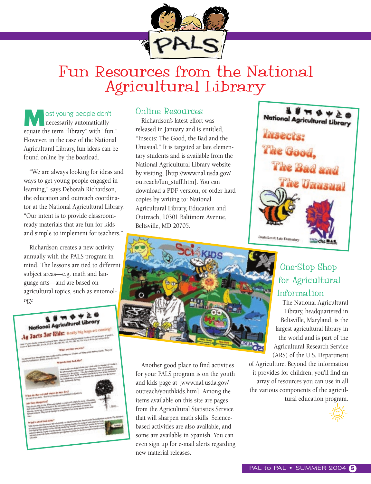

## Fun Resources from the National Agricultural Library

ost young people don't necessarily automatically equate the term "library" with "fun." However, in the case of the National Agricultural Library, fun ideas can be found online by the boatload.

"We are always looking for ideas and ways to get young people engaged in learning," says Deborah Richardson, the education and outreach coordinator at the National Agricultural Library. "Our intent is to provide classroomready materials that are fun for kids and simple to implement for teachers."

Richardson creates a new activity annually with the PALS program in mind. The lessons are tied to different subject areas—e.g. math and language arts—and are based on agricultural topics, such as entomology.



#### Online Resources

Richardson's latest effort was released in January and is entitled, "Insects: The Good, the Bad and the Unusual." It is targeted at late elementary students and is available from the National Agricultural Library website by visiting, [http://www.nal.usda.gov/ outreach/fun\_stuff.htm]. You can download a PDF version, or order hard copies by writing to: National Agricultural Library, Education and Outreach, 10301 Baltimore Avenue, Beltsville, MD 20705.



Another good place to find activities for your PALS program is on the youth and kids page at [www.nal.usda.gov/ outreach/youthkids.htm]. Among the items available on this site are pages from the Agricultural Statistics Service that will sharpen math skills. Sciencebased activities are also available, and some are available in Spanish. You can even sign up for e-mail alerts regarding new material releases.

#### One-Stop Shop for Agricultural Information

The National Agricultural Library, headquartered in Beltsville, Maryland, is the largest agricultural library in the world and is part of the Agricultural Research Service (ARS) of the U.S. Department

of Agriculture. Beyond the information it provides for children, you'll find an array of resources you can use in all the various components of the agricultural education program.

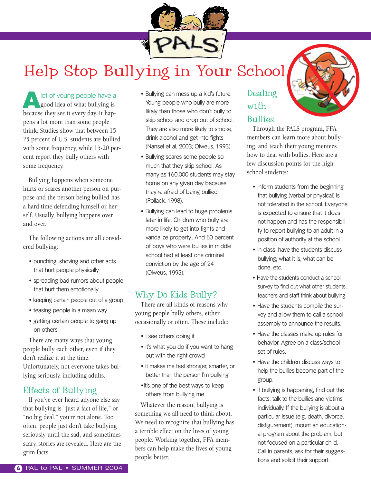

## Help Stop Bullying in Your School

lot of young people have a good idea of what bullying is because they see it every day. It happens a lot more than some people think. Studies show that between 15- 25 percent of U.S. students are bullied with some frequency, while 15-20 percent report they bully others with some frequency.

Bullying happens when someone hurts or scares another person on purpose and the person being bullied has a hard time defending himself or herself. Usually, bullying happens over and over.

The following actions are all considered bullying:

- punching, shoving and other acts that hurt people physically
- spreading bad rumors about people that hurt them emotionally
- keeping certain people out of a group
- teasing people in a mean way
- getting certain people to gang up on others

There are many ways that young people bully each other, even if they don't realize it at the time. Unfortunately, not everyone takes bullying seriously, including adults.

#### Effects of Bullying

If you've ever heard anyone else say that bullying is "just a fact of life," or "no big deal," you're not alone. Too often, people just don't take bullying seriously until the sad, and sometimes scary, stories are revealed. Here are the grim facts.

- Bullying can mess up a kid's future. Young people who bully are more likely than those who don't bully to skip school and drop out of school. They are also more likely to smoke, drink alcohol and get into fights (Nansel et al, 2003; Olweus, 1993).
- Bullying scares some people so much that they skip school. As many as 160,000 students may stay home on any given day because they're afraid of being bullied (Pollack, 1998).
- Bullying can lead to huge problems later in life. Children who bully are more likely to get into fights and vandalize property.. And 60 percent of boys who were bullies in middle school had at least one criminal conviction by the age of 24 (Olweus, 1993).

#### Why Do Kids Bully?

There are all kinds of reasons why young people bully others, either occasionally or often. These include:

- I see others doing it
- it's what you do if you want to hang out with the right crowd
- it makes me feel stronger, smarter, or better than the person I'm bullying
- •it's one of the best ways to keep others from bullying me

Whatever the reason, bullying is something we all need to think about. We need to recognize that bullying has a terrible effect on the lives of young people. Working together, FFA members can help make the lives of young people better.

#### Dealing with Bullies

Through the PALS program, FFA members can learn more about bullying, and teach their young mentees how to deal with bullies. Here are a few discussion points for the high school students:

- Inform students from the beginning that bullying (verbal or physical) is not tolerated in the school. Everyone is expected to ensure that it does not happen and has the responsibility to report bullying to an adult in a position of authority at the school.
- In class, have the students discuss bullying; what it is, what can be done, etc.
- Have the students conduct a school survey to find out what other students, teachers and staff think about bullying.
- Have the students compile the survey and allow them to call a school assembly to announce the results.
- Have the classes make up rules for behavior. Agree on a class/school set of rules.
- Have the children discuss ways to help the bullies become part of the group.
- If bullying is happening, find out the facts, talk to the bullies and victims individually. If the bullying is about a particular issue (e.g. death, divorce, disfigurement), mount an educational program about the problem, but not focused on a particular child. Call in parents, ask for their suggestions and solicit their support.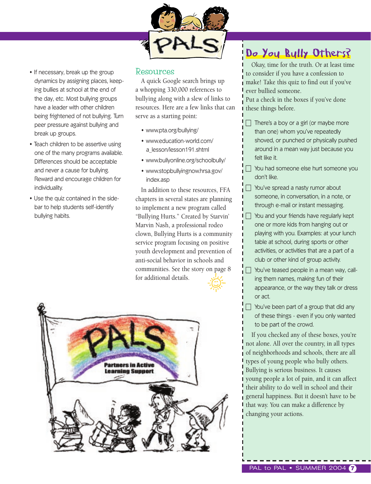

- If necessary, break up the group dynamics by assigning places, keeping bullies at school at the end of the day, etc. Most bullying groups have a leader with other children being frightened of not bullying. Turn peer pressure against bullying and break up groups.
- Teach children to be assertive using one of the many programs available. Differences should be acceptable and never a cause for bullying. Reward and encourage children for individuality.
- Use the quiz contained in the sidebar to help students self-identify bullying habits.

#### Resources

A quick Google search brings up a whopping 330,000 references to bullying along with a slew of links to resources. Here are a few links that can serve as a starting point:

- www.pta.org/bullying/
- www.education-world.com/ a\_lesson/lesson191.shtml
- www.bullyonline.org/schoolbully/
- www.stopbullyingnow.hrsa.gov/ index.asp

In addition to these resources, FFA chapters in several states are planning to implement a new program called "Bullying Hurts." Created by Starvin' Marvin Nash, a professional rodeo clown, Bullying Hurts is a community service program focusing on positive youth development and prevention of anti-social behavior in schools and communities. See the story on page 8 for additional details.



## Do You Bully Others?

Okay, time for the truth. Or at least time to consider if you have a confession to make! Take this quiz to find out if you've ever bullied someone.

Put a check in the boxes if you've done these things before.

- $\Box$  There's a boy or a girl (or maybe more than one) whom you've repeatedly shoved, or punched or physically pushed around in a mean way just because you felt like it.
- - You had someone else hurt someone you don't like.
- You've spread a nasty rumor about someone, in conversation, in a note, or through e-mail or instant messaging.
- $\Box$  You and your friends have regularly kept one or more kids from hanging out or playing with you. Examples: at your lunch table at school, during sports or other activities, or activities that are a part of a club or other kind of group activity.
- - You've teased people in a mean way, calling them names, making fun of their appearance, or the way they talk or dress or act.
- $\Box$  You've been part of a group that did any of these things - even if you only wanted to be part of the crowd.

If you checked any of these boxes, you're not alone. All over the country, in all types of neighborhoods and schools, there are all types of young people who bully others. Bullying is serious business. It causes young people a lot of pain, and it can affect their ability to do well in school and their general happiness. But it doesn't have to be that way. You can make a difference by changing your actions.